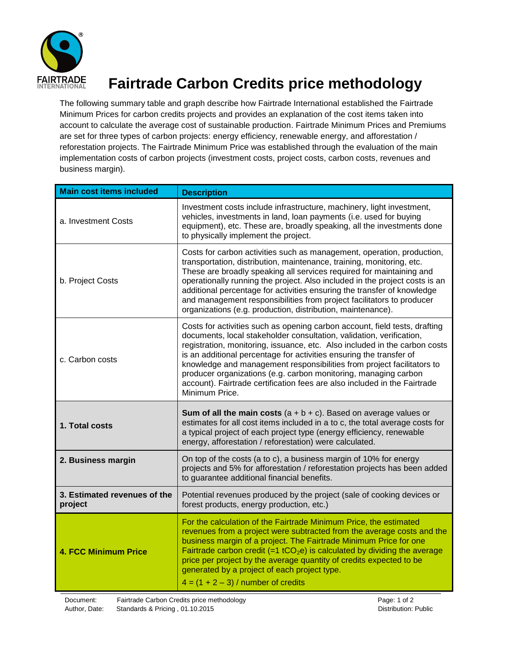

## **Fairtrade Carbon Credits price methodology**

The following summary table and graph describe how Fairtrade International established the Fairtrade Minimum Prices for carbon credits projects and provides an explanation of the cost items taken into account to calculate the average cost of sustainable production. Fairtrade Minimum Prices and Premiums are set for three types of carbon projects: energy efficiency, renewable energy, and afforestation / reforestation projects. The Fairtrade Minimum Price was established through the evaluation of the main implementation costs of carbon projects (investment costs, project costs, carbon costs, revenues and business margin).

| <b>Main cost items included</b>         | <b>Description</b>                                                                                                                                                                                                                                                                                                                                                                                                                                                                                                                                  |
|-----------------------------------------|-----------------------------------------------------------------------------------------------------------------------------------------------------------------------------------------------------------------------------------------------------------------------------------------------------------------------------------------------------------------------------------------------------------------------------------------------------------------------------------------------------------------------------------------------------|
| a. Investment Costs                     | Investment costs include infrastructure, machinery, light investment,<br>vehicles, investments in land, loan payments (i.e. used for buying<br>equipment), etc. These are, broadly speaking, all the investments done<br>to physically implement the project.                                                                                                                                                                                                                                                                                       |
| b. Project Costs                        | Costs for carbon activities such as management, operation, production,<br>transportation, distribution, maintenance, training, monitoring, etc.<br>These are broadly speaking all services required for maintaining and<br>operationally running the project. Also included in the project costs is an<br>additional percentage for activities ensuring the transfer of knowledge<br>and management responsibilities from project facilitators to producer<br>organizations (e.g. production, distribution, maintenance).                           |
| c. Carbon costs                         | Costs for activities such as opening carbon account, field tests, drafting<br>documents, local stakeholder consultation, validation, verification,<br>registration, monitoring, issuance, etc. Also included in the carbon costs<br>is an additional percentage for activities ensuring the transfer of<br>knowledge and management responsibilities from project facilitators to<br>producer organizations (e.g. carbon monitoring, managing carbon<br>account). Fairtrade certification fees are also included in the Fairtrade<br>Minimum Price. |
| 1. Total costs                          | <b>Sum of all the main costs</b> $(a + b + c)$ . Based on average values or<br>estimates for all cost items included in a to c, the total average costs for<br>a typical project of each project type (energy efficiency, renewable<br>energy, afforestation / reforestation) were calculated.                                                                                                                                                                                                                                                      |
| 2. Business margin                      | On top of the costs (a to c), a business margin of 10% for energy<br>projects and 5% for afforestation / reforestation projects has been added<br>to guarantee additional financial benefits.                                                                                                                                                                                                                                                                                                                                                       |
| 3. Estimated revenues of the<br>project | Potential revenues produced by the project (sale of cooking devices or<br>forest products, energy production, etc.)                                                                                                                                                                                                                                                                                                                                                                                                                                 |
| <b>4. FCC Minimum Price</b>             | For the calculation of the Fairtrade Minimum Price, the estimated<br>revenues from a project were subtracted from the average costs and the<br>business margin of a project. The Fairtrade Minimum Price for one<br>Fairtrade carbon credit (=1 tCO <sub>2</sub> e) is calculated by dividing the average<br>price per project by the average quantity of credits expected to be<br>generated by a project of each project type.<br>$4 = (1 + 2 - 3)$ / number of credits                                                                           |